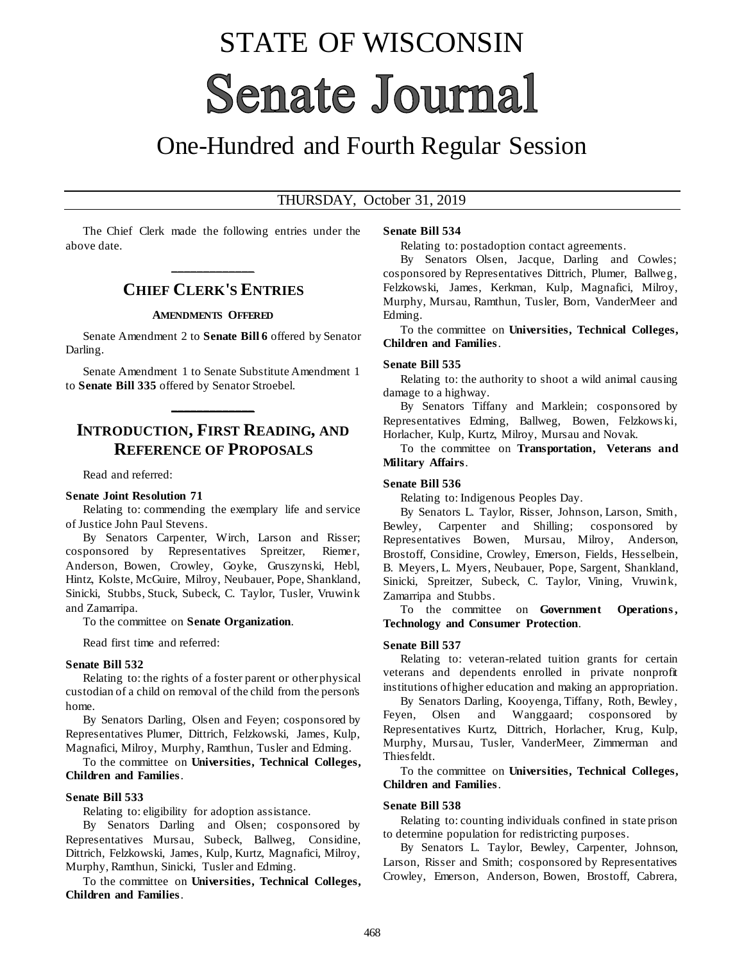# STATE OF WISCONSIN **Senate Journal**

## One-Hundred and Fourth Regular Session

#### THURSDAY, October 31, 2019

The Chief Clerk made the following entries under the above date.

## **\_\_\_\_\_\_\_\_\_\_\_\_\_ CHIEF CLERK'S ENTRIES**

#### **AMENDMENTS OFFERED**

Senate Amendment 2 to **Senate Bill 6** offered by Senator Darling.

Senate Amendment 1 to Senate Substitute Amendment 1 to **Senate Bill 335** offered by Senator Stroebel.

**\_\_\_\_\_\_\_\_\_\_\_\_\_**

## **INTRODUCTION, FIRST READING, AND REFERENCE OF PROPOSALS**

Read and referred:

#### **Senate Joint Resolution 71**

Relating to: commending the exemplary life and service of Justice John Paul Stevens.

By Senators Carpenter, Wirch, Larson and Risser; cosponsored by Representatives Spreitzer, Riemer, Anderson, Bowen, Crowley, Goyke, Gruszynski, Hebl, Hintz, Kolste, McGuire, Milroy, Neubauer, Pope, Shankland, Sinicki, Stubbs, Stuck, Subeck, C. Taylor, Tusler, Vruwink and Zamarripa.

To the committee on **Senate Organization**.

Read first time and referred:

#### **Senate Bill 532**

Relating to: the rights of a foster parent or other physical custodian of a child on removal of the child from the person's home.

By Senators Darling, Olsen and Feyen; cosponsored by Representatives Plumer, Dittrich, Felzkowski, James, Kulp, Magnafici, Milroy, Murphy, Ramthun, Tusler and Edming.

To the committee on **Universities, Technical Colleges, Children and Families**.

#### **Senate Bill 533**

Relating to: eligibility for adoption assistance.

By Senators Darling and Olsen; cosponsored by Representatives Mursau, Subeck, Ballweg, Considine, Dittrich, Felzkowski, James, Kulp, Kurtz, Magnafici, Milroy, Murphy, Ramthun, Sinicki, Tusler and Edming.

To the committee on **Universities, Technical Colleges, Children and Families**.

#### **Senate Bill 534**

Relating to: postadoption contact agreements.

By Senators Olsen, Jacque, Darling and Cowles; cosponsored by Representatives Dittrich, Plumer, Ballweg, Felzkowski, James, Kerkman, Kulp, Magnafici, Milroy, Murphy, Mursau, Ramthun, Tusler, Born, VanderMeer and Edming.

To the committee on **Universities, Technical Colleges, Children and Families**.

#### **Senate Bill 535**

Relating to: the authority to shoot a wild animal causing damage to a highway.

By Senators Tiffany and Marklein; cosponsored by Representatives Edming, Ballweg, Bowen, Felzkows ki, Horlacher, Kulp, Kurtz, Milroy, Mursau and Novak.

To the committee on **Transportation, Veterans and Military Affairs**.

#### **Senate Bill 536**

Relating to: Indigenous Peoples Day.

By Senators L. Taylor, Risser, Johnson, Larson, Smith, Bewley, Carpenter and Shilling; cosponsored by Representatives Bowen, Mursau, Milroy, Anderson, Brostoff, Considine, Crowley, Emerson, Fields, Hesselbein, B. Meyers, L. Myers, Neubauer, Pope, Sargent, Shankland, Sinicki, Spreitzer, Subeck, C. Taylor, Vining, Vruwink, Zamarripa and Stubbs.

To the committee on **Government Operations , Technology and Consumer Protection**.

#### **Senate Bill 537**

Relating to: veteran-related tuition grants for certain veterans and dependents enrolled in private nonprofit institutions of higher education and making an appropriation.

By Senators Darling, Kooyenga, Tiffany, Roth, Bewley, Feyen, Olsen and Wanggaard; cosponsored by Representatives Kurtz, Dittrich, Horlacher, Krug, Kulp, Murphy, Mursau, Tusler, VanderMeer, Zimmerman and Thiesfeldt.

To the committee on **Universities, Technical Colleges, Children and Families**.

#### **Senate Bill 538**

Relating to: counting individuals confined in state prison to determine population for redistricting purposes.

By Senators L. Taylor, Bewley, Carpenter, Johnson, Larson, Risser and Smith; cosponsored by Representatives Crowley, Emerson, Anderson, Bowen, Brostoff, Cabrera,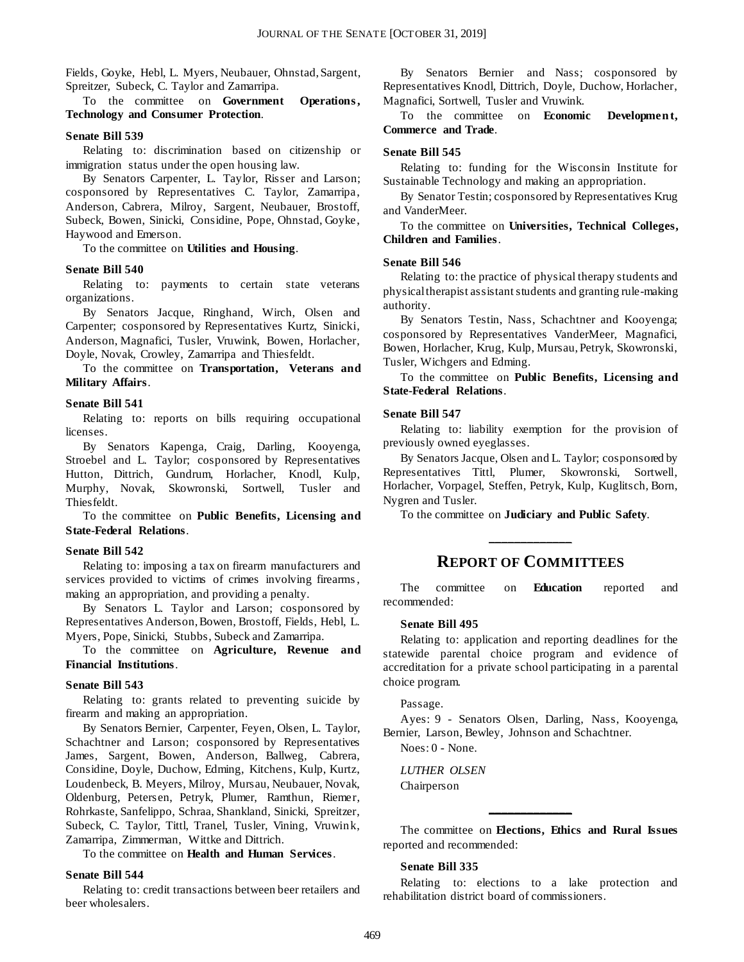Fields, Goyke, Hebl, L. Myers, Neubauer, Ohnstad, Sargent, Spreitzer, Subeck, C. Taylor and Zamarripa.

To the committee on **Government Operations , Technology and Consumer Protection**.

#### **Senate Bill 539**

Relating to: discrimination based on citizenship or immigration status under the open housing law.

By Senators Carpenter, L. Taylor, Risser and Larson; cosponsored by Representatives C. Taylor, Zamarripa, Anderson, Cabrera, Milroy, Sargent, Neubauer, Brostoff, Subeck, Bowen, Sinicki, Considine, Pope, Ohnstad, Goyke, Haywood and Emerson.

To the committee on **Utilities and Housing**.

#### **Senate Bill 540**

Relating to: payments to certain state veterans organizations.

By Senators Jacque, Ringhand, Wirch, Olsen and Carpenter; cosponsored by Representatives Kurtz, Sinicki, Anderson, Magnafici, Tusler, Vruwink, Bowen, Horlacher, Doyle, Novak, Crowley, Zamarripa and Thiesfeldt.

To the committee on **Transportation, Veterans and Military Affairs**.

#### **Senate Bill 541**

Relating to: reports on bills requiring occupational licenses.

By Senators Kapenga, Craig, Darling, Kooyenga, Stroebel and L. Taylor; cosponsored by Representatives Hutton, Dittrich, Gundrum, Horlacher, Knodl, Kulp, Murphy, Novak, Skowronski, Sortwell, Tusler and Thiesfeldt.

To the committee on **Public Benefits, Licensing and State-Federal Relations**.

#### **Senate Bill 542**

Relating to: imposing a tax on firearm manufacturers and services provided to victims of crimes involving firearms , making an appropriation, and providing a penalty.

By Senators L. Taylor and Larson; cosponsored by Representatives Anderson, Bowen, Brostoff, Fields, Hebl, L. Myers, Pope, Sinicki, Stubbs, Subeck and Zamarripa.

To the committee on **Agriculture, Revenue and Financial Institutions**.

#### **Senate Bill 543**

Relating to: grants related to preventing suicide by firearm and making an appropriation.

By Senators Bernier, Carpenter, Feyen, Olsen, L. Taylor, Schachtner and Larson; cosponsored by Representatives James, Sargent, Bowen, Anderson, Ballweg, Cabrera, Considine, Doyle, Duchow, Edming, Kitchens, Kulp, Kurtz, Loudenbeck, B. Meyers, Milroy, Mursau, Neubauer, Novak, Oldenburg, Petersen, Petryk, Plumer, Ramthun, Riemer, Rohrkaste, Sanfelippo, Schraa, Shankland, Sinicki, Spreitzer, Subeck, C. Taylor, Tittl, Tranel, Tusler, Vining, Vruwink, Zamarripa, Zimmerman, Wittke and Dittrich.

To the committee on **Health and Human Services**.

#### **Senate Bill 544**

Relating to: credit transactions between beer retailers and beer wholesalers.

By Senators Bernier and Nass; cosponsored by Representatives Knodl, Dittrich, Doyle, Duchow, Horlacher, Magnafici, Sortwell, Tusler and Vruwink.

To the committee on **Economic Developmen t, Commerce and Trade**.

#### **Senate Bill 545**

Relating to: funding for the Wisconsin Institute for Sustainable Technology and making an appropriation.

By Senator Testin; cosponsored by Representatives Krug and VanderMeer.

To the committee on **Universities, Technical Colleges, Children and Families**.

#### **Senate Bill 546**

Relating to: the practice of physical therapy students and physical therapist assistant students and granting rule-making authority.

By Senators Testin, Nass, Schachtner and Kooyenga; cosponsored by Representatives VanderMeer, Magnafici, Bowen, Horlacher, Krug, Kulp, Mursau, Petryk, Skowronski, Tusler, Wichgers and Edming.

To the committee on **Public Benefits, Licensing and State-Federal Relations**.

#### **Senate Bill 547**

Relating to: liability exemption for the provision of previously owned eyeglasses.

By Senators Jacque, Olsen and L. Taylor; cosponsored by Representatives Tittl, Plumer, Skowronski, Sortwell, Horlacher, Vorpagel, Steffen, Petryk, Kulp, Kuglitsch, Born, Nygren and Tusler.

To the committee on **Judiciary and Public Safety**.

### **REPORT OF COMMITTEES**

**\_\_\_\_\_\_\_\_\_\_\_\_\_**

The committee on **Education** reported and recommended:

#### **Senate Bill 495**

Relating to: application and reporting deadlines for the statewide parental choice program and evidence of accreditation for a private school participating in a parental choice program.

#### Passage.

Ayes: 9 - Senators Olsen, Darling, Nass, Kooyenga, Bernier, Larson, Bewley, Johnson and Schachtner.

Noes: 0 - None.

*LUTHER OLSEN* Chairperson

The committee on **Elections, Ethics and Rural Issues** reported and recommended:

**\_\_\_\_\_\_\_\_\_\_\_\_\_**

#### **Senate Bill 335**

Relating to: elections to a lake protection and rehabilitation district board of commissioners.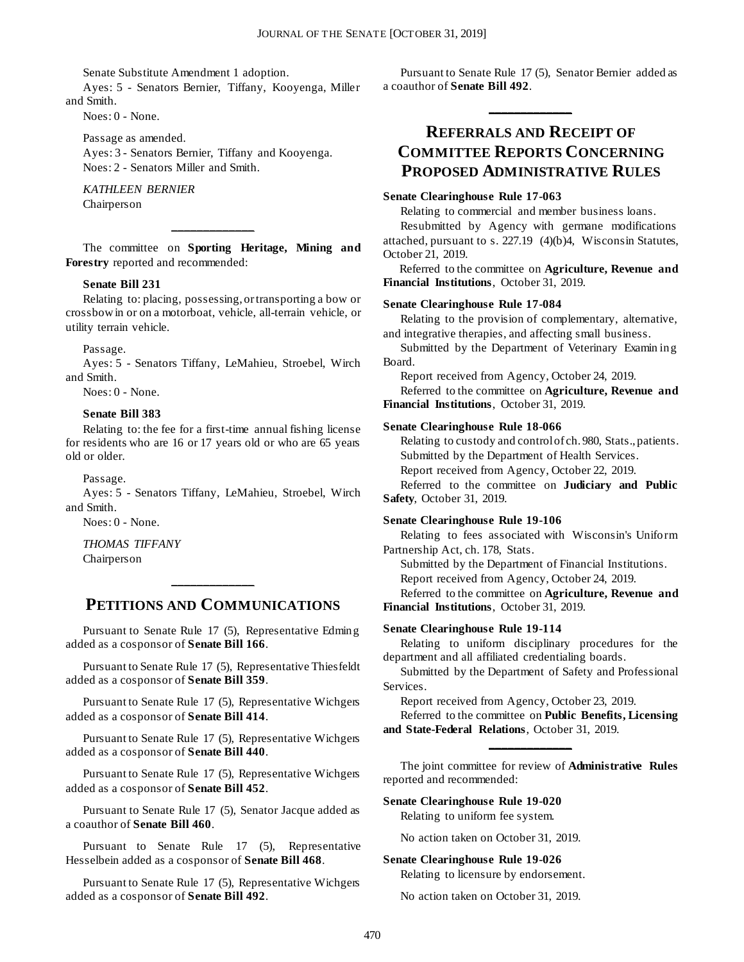Senate Substitute Amendment 1 adoption.

Ayes: 5 - Senators Bernier, Tiffany, Kooyenga, Miller and Smith.

Noes: 0 - None.

Passage as amended. Ayes: 3 - Senators Bernier, Tiffany and Kooyenga. Noes: 2 - Senators Miller and Smith.

*KATHLEEN BERNIER* Chairperson

The committee on **Sporting Heritage, Mining and Forestry** reported and recommended:

**\_\_\_\_\_\_\_\_\_\_\_\_\_**

#### **Senate Bill 231**

Relating to: placing, possessing, or transporting a bow or crossbow in or on a motorboat, vehicle, all-terrain vehicle, or utility terrain vehicle.

#### Passage.

Ayes: 5 - Senators Tiffany, LeMahieu, Stroebel, Wirch and Smith.

Noes: 0 - None.

#### **Senate Bill 383**

Relating to: the fee for a first-time annual fishing license for residents who are 16 or 17 years old or who are 65 years old or older.

Passage.

Ayes: 5 - Senators Tiffany, LeMahieu, Stroebel, Wirch and Smith.

Noes: 0 - None.

*THOMAS TIFFANY* Chairperson

## **PETITIONS AND COMMUNICATIONS**

**\_\_\_\_\_\_\_\_\_\_\_\_\_**

Pursuant to Senate Rule 17 (5), Representative Edming added as a cosponsor of **Senate Bill 166**.

Pursuant to Senate Rule 17 (5), Representative Thiesfeldt added as a cosponsor of **Senate Bill 359**.

Pursuant to Senate Rule 17 (5), Representative Wichgers added as a cosponsor of **Senate Bill 414**.

Pursuant to Senate Rule 17 (5), Representative Wichgers added as a cosponsor of **Senate Bill 440**.

Pursuant to Senate Rule 17 (5), Representative Wichgers added as a cosponsor of **Senate Bill 452**.

Pursuant to Senate Rule 17 (5), Senator Jacque added as a coauthor of **Senate Bill 460**.

Pursuant to Senate Rule 17 (5), Representative Hesselbein added as a cosponsor of **Senate Bill 468**.

Pursuant to Senate Rule 17 (5), Representative Wichgers added as a cosponsor of **Senate Bill 492**.

Pursuant to Senate Rule 17 (5), Senator Bernier added as a coauthor of **Senate Bill 492**.

**\_\_\_\_\_\_\_\_\_\_\_\_\_**

## **REFERRALS AND RECEIPT OF COMMITTEE REPORTS CONCERNING PROPOSED ADMINISTRATIVE RULES**

#### **Senate Clearinghouse Rule 17-063**

Relating to commercial and member business loans.

Resubmitted by Agency with germane modifications attached, pursuant to s. 227.19 (4)(b)4, Wisconsin Statutes, October 21, 2019.

Referred to the committee on **Agriculture, Revenue and Financial Institutions**, October 31, 2019.

#### **Senate Clearinghouse Rule 17-084**

Relating to the provision of complementary, alternative, and integrative therapies, and affecting small business.

Submitted by the Department of Veterinary Examin ing Board.

Report received from Agency, October 24, 2019.

Referred to the committee on **Agriculture, Revenue and Financial Institutions**, October 31, 2019.

#### **Senate Clearinghouse Rule 18-066**

Relating to custody and control of ch. 980, Stats., patients. Submitted by the Department of Health Services.

Report received from Agency, October 22, 2019.

Referred to the committee on **Judiciary and Public Safety**, October 31, 2019.

#### **Senate Clearinghouse Rule 19-106**

Relating to fees associated with Wisconsin's Uniform Partnership Act, ch. 178, Stats.

Submitted by the Department of Financial Institutions. Report received from Agency, October 24, 2019. Referred to the committee on **Agriculture, Revenue and** 

**Financial Institutions**, October 31, 2019.

#### **Senate Clearinghouse Rule 19-114**

Relating to uniform disciplinary procedures for the department and all affiliated credentialing boards.

Submitted by the Department of Safety and Professional Services.

Report received from Agency, October 23, 2019. Referred to the committee on **Public Benefits, Licensing** 

**\_\_\_\_\_\_\_\_\_\_\_\_\_**

**and State-Federal Relations**, October 31, 2019.

The joint committee for review of **Administrative Rules** reported and recommended:

#### **Senate Clearinghouse Rule 19-020**

Relating to uniform fee system.

No action taken on October 31, 2019.

#### **Senate Clearinghouse Rule 19-026**

Relating to licensure by endorsement.

No action taken on October 31, 2019.